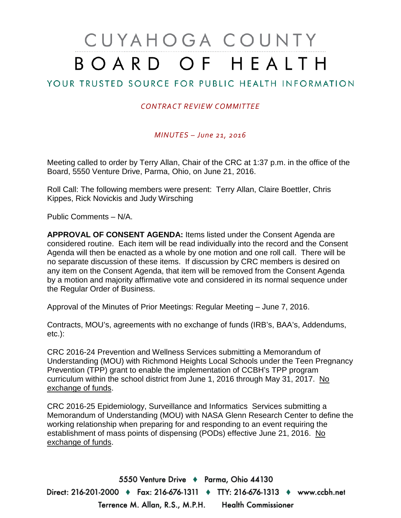# CUYAHOGA COUNTY BOARD OF HEALTH

# YOUR TRUSTED SOURCE FOR PUBLIC HEALTH INFORMATION

## *CONTRACT REVIEW COMMITTEE*

### *MINUTES – June 21, 2016*

Meeting called to order by Terry Allan, Chair of the CRC at 1:37 p.m. in the office of the Board, 5550 Venture Drive, Parma, Ohio, on June 21, 2016.

Roll Call: The following members were present: Terry Allan, Claire Boettler, Chris Kippes, Rick Novickis and Judy Wirsching

Public Comments – N/A.

**APPROVAL OF CONSENT AGENDA:** Items listed under the Consent Agenda are considered routine. Each item will be read individually into the record and the Consent Agenda will then be enacted as a whole by one motion and one roll call. There will be no separate discussion of these items. If discussion by CRC members is desired on any item on the Consent Agenda, that item will be removed from the Consent Agenda by a motion and majority affirmative vote and considered in its normal sequence under the Regular Order of Business.

Approval of the Minutes of Prior Meetings: Regular Meeting – June 7, 2016.

Contracts, MOU's, agreements with no exchange of funds (IRB's, BAA's, Addendums, etc.):

CRC 2016-24 Prevention and Wellness Services submitting a Memorandum of Understanding (MOU) with Richmond Heights Local Schools under the Teen Pregnancy Prevention (TPP) grant to enable the implementation of CCBH's TPP program curriculum within the school district from June 1, 2016 through May 31, 2017. No exchange of funds.

CRC 2016-25 Epidemiology, Surveillance and Informatics Services submitting a Memorandum of Understanding (MOU) with NASA Glenn Research Center to define the working relationship when preparing for and responding to an event requiring the establishment of mass points of dispensing (PODs) effective June 21, 2016. No exchange of funds.

5550 Venture Drive + Parma, Ohio 44130 Direct: 216-201-2000 ♦ Fax: 216-676-1311 ♦ TTY: 216-676-1313 ♦ www.ccbh.net Terrence M. Allan, R.S., M.P.H. Health Commissioner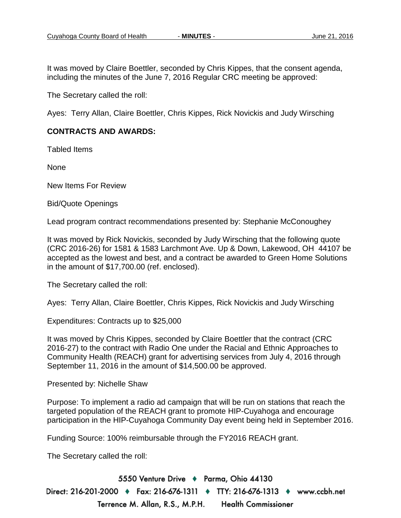It was moved by Claire Boettler, seconded by Chris Kippes, that the consent agenda, including the minutes of the June 7, 2016 Regular CRC meeting be approved:

The Secretary called the roll:

Ayes: Terry Allan, Claire Boettler, Chris Kippes, Rick Novickis and Judy Wirsching

#### **CONTRACTS AND AWARDS:**

Tabled Items

None

New Items For Review

Bid/Quote Openings

Lead program contract recommendations presented by: Stephanie McConoughey

It was moved by Rick Novickis, seconded by Judy Wirsching that the following quote (CRC 2016-26) for 1581 & 1583 Larchmont Ave. Up & Down, Lakewood, OH 44107 be accepted as the lowest and best, and a contract be awarded to Green Home Solutions in the amount of \$17,700.00 (ref. enclosed).

The Secretary called the roll:

Ayes: Terry Allan, Claire Boettler, Chris Kippes, Rick Novickis and Judy Wirsching

Expenditures: Contracts up to \$25,000

It was moved by Chris Kippes, seconded by Claire Boettler that the contract (CRC 2016-27) to the contract with Radio One under the Racial and Ethnic Approaches to Community Health (REACH) grant for advertising services from July 4, 2016 through September 11, 2016 in the amount of \$14,500.00 be approved.

Presented by: Nichelle Shaw

Purpose: To implement a radio ad campaign that will be run on stations that reach the targeted population of the REACH grant to promote HIP-Cuyahoga and encourage participation in the HIP-Cuyahoga Community Day event being held in September 2016.

Funding Source: 100% reimbursable through the FY2016 REACH grant.

The Secretary called the roll:

5550 Venture Drive + Parma, Ohio 44130 Direct: 216-201-2000 ♦ Fax: 216-676-1311 ♦ TTY: 216-676-1313 ♦ www.ccbh.net Terrence M. Allan, R.S., M.P.H. **Health Commissioner**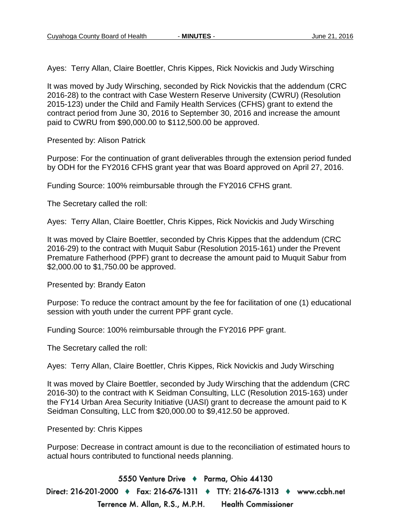Ayes: Terry Allan, Claire Boettler, Chris Kippes, Rick Novickis and Judy Wirsching

It was moved by Judy Wirsching, seconded by Rick Novickis that the addendum (CRC 2016-28) to the contract with Case Western Reserve University (CWRU) (Resolution 2015-123) under the Child and Family Health Services (CFHS) grant to extend the contract period from June 30, 2016 to September 30, 2016 and increase the amount paid to CWRU from \$90,000.00 to \$112,500.00 be approved.

Presented by: Alison Patrick

Purpose: For the continuation of grant deliverables through the extension period funded by ODH for the FY2016 CFHS grant year that was Board approved on April 27, 2016.

Funding Source: 100% reimbursable through the FY2016 CFHS grant.

The Secretary called the roll:

Ayes: Terry Allan, Claire Boettler, Chris Kippes, Rick Novickis and Judy Wirsching

It was moved by Claire Boettler, seconded by Chris Kippes that the addendum (CRC 2016-29) to the contract with Muquit Sabur (Resolution 2015-161) under the Prevent Premature Fatherhood (PPF) grant to decrease the amount paid to Muquit Sabur from \$2,000.00 to \$1,750.00 be approved.

Presented by: Brandy Eaton

Purpose: To reduce the contract amount by the fee for facilitation of one (1) educational session with youth under the current PPF grant cycle.

Funding Source: 100% reimbursable through the FY2016 PPF grant.

The Secretary called the roll:

Ayes: Terry Allan, Claire Boettler, Chris Kippes, Rick Novickis and Judy Wirsching

It was moved by Claire Boettler, seconded by Judy Wirsching that the addendum (CRC 2016-30) to the contract with K Seidman Consulting, LLC (Resolution 2015-163) under the FY14 Urban Area Security Initiative (UASI) grant to decrease the amount paid to K Seidman Consulting, LLC from \$20,000.00 to \$9,412.50 be approved.

Presented by: Chris Kippes

Purpose: Decrease in contract amount is due to the reconciliation of estimated hours to actual hours contributed to functional needs planning.

5550 Venture Drive + Parma, Ohio 44130 Direct: 216-201-2000 ♦ Fax: 216-676-1311 ♦ TTY: 216-676-1313 ♦ www.ccbh.net Terrence M. Allan, R.S., M.P.H. **Health Commissioner**